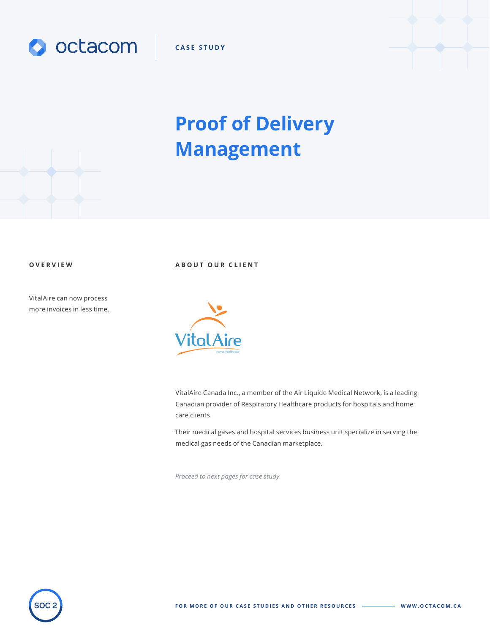

**CASE STUDY**

# **Proof of Delivery Management**

VitalAire can now process more invoices in less time.

**OVERVIEW ABOUT OUR CLIENT**



VitalAire Canada Inc., a member of the Air Liquide Medical Network, is a leading Canadian provider of Respiratory Healthcare products for hospitals and home care clients.

Their medical gases and hospital services business unit specialize in serving the medical gas needs of the Canadian marketplace.

*Proceed to next pages for case study*



**FOR MORE OF OUR CASE STUDIES AND OTHER RESOURCES WWW.OCTACOM.CA**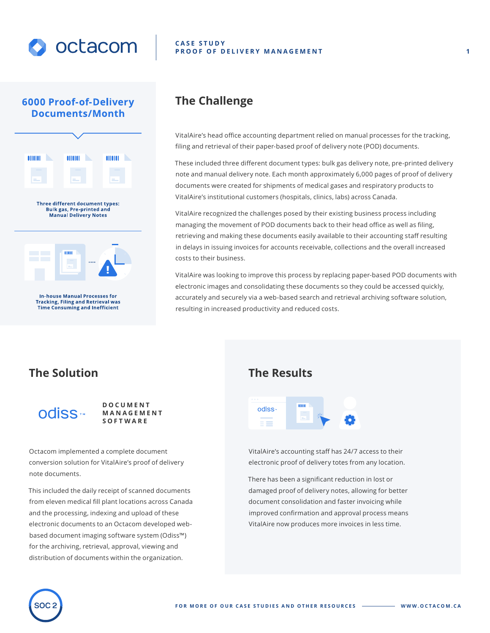

## **6000 Proof-of-Delivery Documents/Month**



**In-house Manual Processes for Tracking, Filing and Retrieval was Time Consuming and Inefficient** 

### **CASE STUDY PROOF OF DELIVERY MANAGEMENT**

## **The Challenge**

VitalAire's head office accounting department relied on manual processes for the tracking, filing and retrieval of their paper-based proof of delivery note (POD) documents.

These included three different document types: bulk gas delivery note, pre-printed delivery note and manual delivery note. Each month approximately 6,000 pages of proof of delivery documents were created for shipments of medical gases and respiratory products to VitalAire's institutional customers (hospitals, clinics, labs) across Canada.

VitalAire recognized the challenges posed by their existing business process including managing the movement of POD documents back to their head office as well as filing, retrieving and making these documents easily available to their accounting staff resulting in delays in issuing invoices for accounts receivable, collections and the overall increased costs to their business.

VitalAire was looking to improve this process by replacing paper-based POD documents with electronic images and consolidating these documents so they could be accessed quickly, accurately and securely via a web-based search and retrieval archiving software solution, resulting in increased productivity and reduced costs.

## **The Solution**

odiss<sub>\*\*</sub>

**DOCUMENT MANAGEMENT SOFTWARE**

Octacom implemented a complete document conversion solution for VitalAire's proof of delivery note documents.

This included the daily receipt of scanned documents from eleven medical fill plant locations across Canada and the processing, indexing and upload of these electronic documents to an Octacom developed webbased document imaging software system (Odiss™) for the archiving, retrieval, approval, viewing and distribution of documents within the organization.

## **The Results**



VitalAire's accounting staff has 24/7 access to their electronic proof of delivery totes from any location.

There has been a significant reduction in lost or damaged proof of delivery notes, allowing for better document consolidation and faster invoicing while improved confirmation and approval process means VitalAire now produces more invoices in less time.